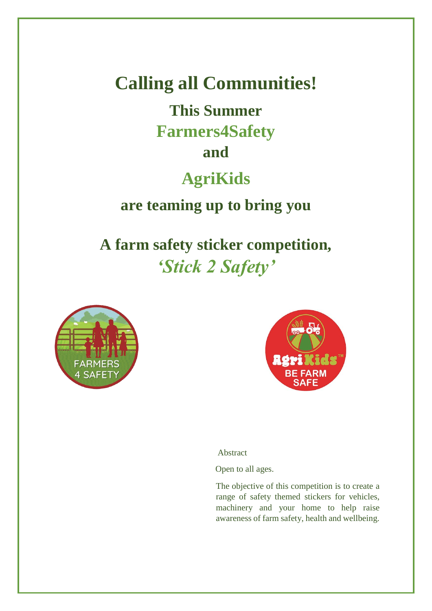**Calling all Communities!**

# **This Summer Farmers4Safety**

### **and**

## **AgriKids**

## **are teaming up to bring you**

## **A farm safety sticker competition,**  *'Stick 2 Safety'*





#### Abstract

Open to all ages.

The objective of this competition is to create a range of safety themed stickers for vehicles, machinery and your home to help raise awareness of farm safety, health and wellbeing.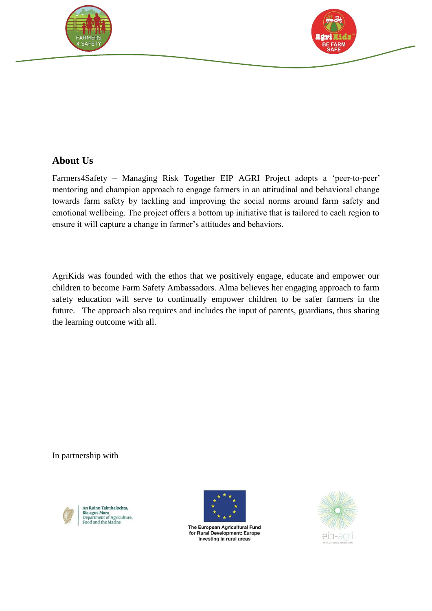



### **About Us**

Farmers4Safety – Managing Risk Together EIP AGRI Project adopts a 'peer-to-peer' mentoring and champion approach to engage farmers in an attitudinal and behavioral change towards farm safety by tackling and improving the social norms around farm safety and emotional wellbeing. The project offers a bottom up initiative that is tailored to each region to ensure it will capture a change in farmer's attitudes and behaviors.

AgriKids was founded with the ethos that we positively engage, educate and empower our children to become Farm Safety Ambassadors. Alma believes her engaging approach to farm safety education will serve to continually empower children to be safer farmers in the future. The approach also requires and includes the input of parents, guardians, thus sharing the learning outcome with all.

In partnership with



An Roinn Talmhaíochta. Bia agus Mara<br>Department of Agriculture, Food and the Marine



The European Agricultural Fund for Rural Development: Europe investing in rural areas

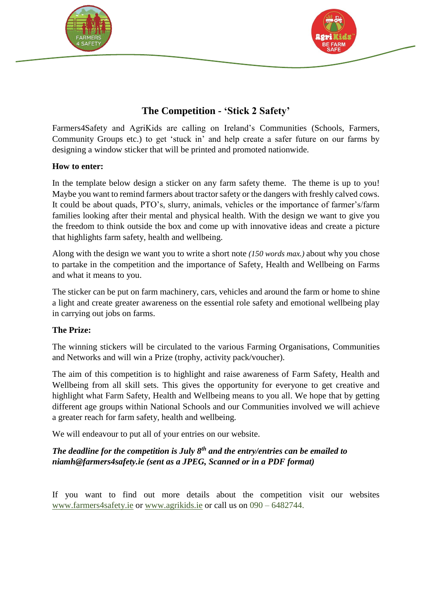



### **The Competition - 'Stick 2 Safety'**

Farmers4Safety and AgriKids are calling on Ireland's Communities (Schools, Farmers, Community Groups etc.) to get 'stuck in' and help create a safer future on our farms by designing a window sticker that will be printed and promoted nationwide.

#### **How to enter:**

In the template below design a sticker on any farm safety theme. The theme is up to you! Maybe you want to remind farmers about tractor safety or the dangers with freshly calved cows. It could be about quads, PTO's, slurry, animals, vehicles or the importance of farmer's/farm families looking after their mental and physical health. With the design we want to give you the freedom to think outside the box and come up with innovative ideas and create a picture that highlights farm safety, health and wellbeing.

Along with the design we want you to write a short note *(150 words max.)* about why you chose to partake in the competition and the importance of Safety, Health and Wellbeing on Farms and what it means to you.

The sticker can be put on farm machinery, cars, vehicles and around the farm or home to shine a light and create greater awareness on the essential role safety and emotional wellbeing play in carrying out jobs on farms.

#### **The Prize:**

The winning stickers will be circulated to the various Farming Organisations, Communities and Networks and will win a Prize (trophy, activity pack/voucher).

The aim of this competition is to highlight and raise awareness of Farm Safety, Health and Wellbeing from all skill sets. This gives the opportunity for everyone to get creative and highlight what Farm Safety, Health and Wellbeing means to you all. We hope that by getting different age groups within National Schools and our Communities involved we will achieve a greater reach for farm safety, health and wellbeing.

We will endeavour to put all of your entries on our website.

#### *The deadline for the competition is July 8th and the entry/entries can be emailed to niamh@farmers4safety.ie (sent as a JPEG, Scanned or in a PDF format)*

If you want to find out more details about the competition visit our websites [www.farmers4safety.ie](http://www.farmers4safety.ie/) or [www.agrikids.ie](http://www.agrikids.ie/) or call us on 090 – 6482744.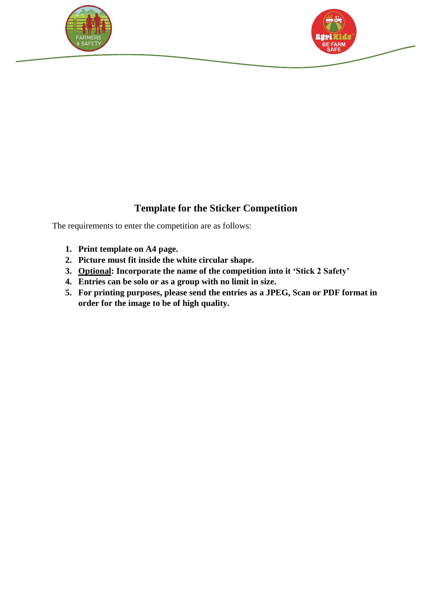



### **Template for the Sticker Competition**

The requirements to enter the competition are as follows:

- **1. Print template on A4 page.**
- **2. Picture must fit inside the white circular shape.**
- **3. Optional: Incorporate the name of the competition into it 'Stick 2 Safety'**
- **4. Entries can be solo or as a group with no limit in size.**
- **5. For printing purposes, please send the entries as a JPEG, Scan or PDF format in order for the image to be of high quality.**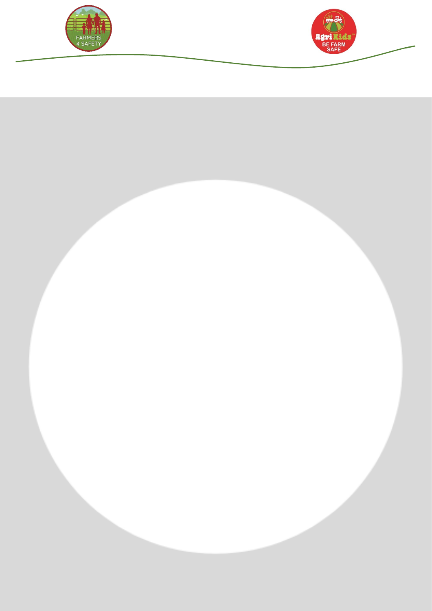